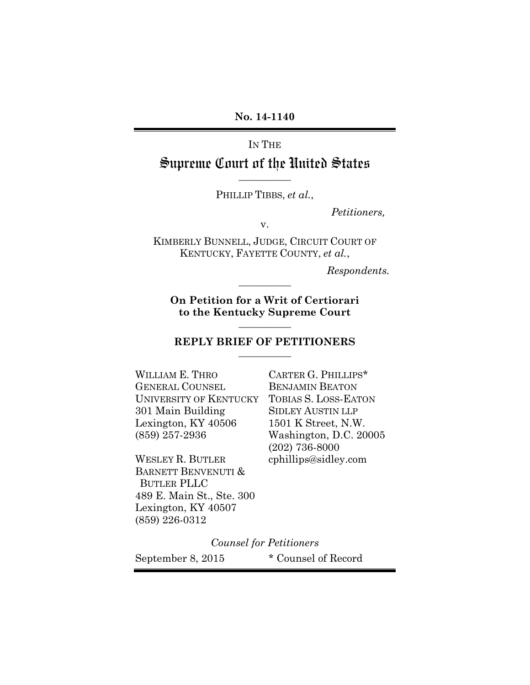#### **No. 14-1140**

### IN THE

# Supreme Court of the United States **\_\_\_\_\_\_\_\_\_\_\_**

PHILLIP TIBBS, *et al.*,

*Petitioners,*

v.

KIMBERLY BUNNELL, JUDGE, CIRCUIT COURT OF KENTUCKY, FAYETTE COUNTY, *et al.*,

*Respondents.*

**On Petition for a Writ of Certiorari to the Kentucky Supreme Court**

**\_\_\_\_\_\_\_\_\_\_\_**

**\_\_\_\_\_\_\_\_\_\_\_**

#### **REPLY BRIEF OF PETITIONERS \_\_\_\_\_\_\_\_\_\_\_**

WILLIAM E. THRO GENERAL COUNSEL UNIVERSITY OF KENTUCKY 301 Main Building Lexington, KY 40506 (859) 257-2936

WESLEY R. BUTLER BARNETT BENVENUTI & BUTLER PLLC 489 E. Main St., Ste. 300 Lexington, KY 40507 (859) 226-0312

CARTER G. PHILLIPS\* BENJAMIN BEATON TOBIAS S. LOSS-EATON SIDLEY AUSTIN LLP 1501 K Street, N.W. Washington, D.C. 20005 (202) 736-8000 cphillips@sidley.com

*Counsel for Petitioners* September 8, 2015 \* Counsel of Record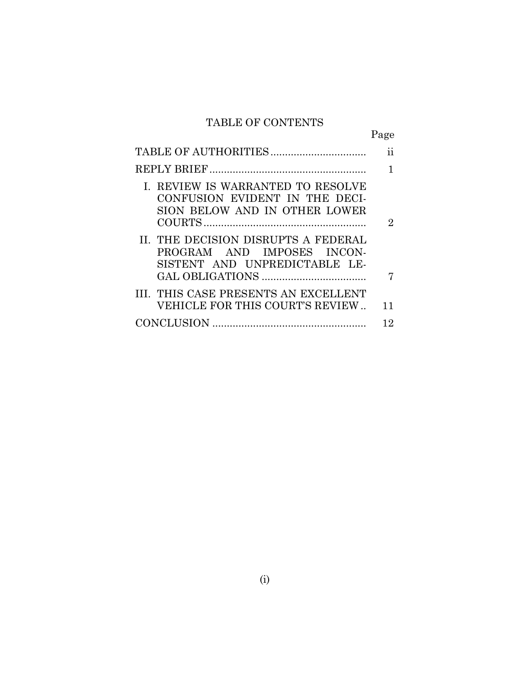# TABLE OF CONTENTS

|                                                                                                      | Page |
|------------------------------------------------------------------------------------------------------|------|
|                                                                                                      | 11   |
|                                                                                                      |      |
| I. REVIEW IS WARRANTED TO RESOLVE<br>CONFUSION EVIDENT IN THE DECI-<br>SION BELOW AND IN OTHER LOWER | 2    |
| II. THE DECISION DISRUPTS A FEDERAL<br>PROGRAM AND IMPOSES INCON-<br>SISTENT AND UNPREDICTABLE LE-   |      |
| III. THIS CASE PRESENTS AN EXCELLENT<br>VEHICLE FOR THIS COURT'S REVIEW                              | 11   |
|                                                                                                      | 12   |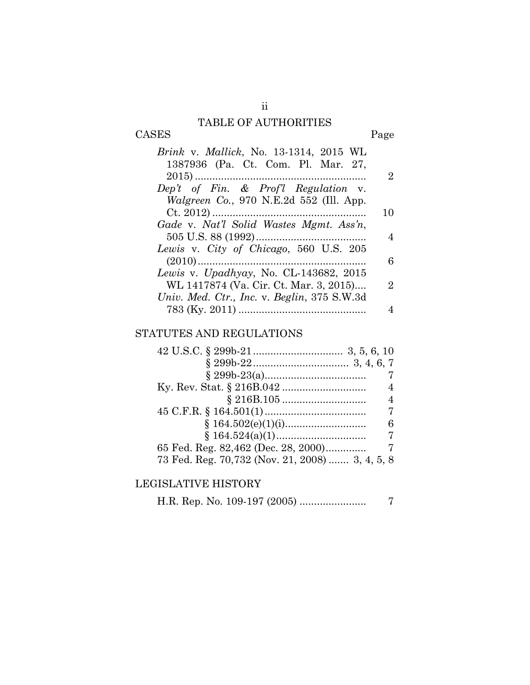## TABLE OF AUTHORITIES

# CASES Page

| <i>Brink v. Mallick</i> , No. 13-1314, 2015 WL  |    |
|-------------------------------------------------|----|
| 1387936 (Pa. Ct. Com. Pl. Mar. 27,              |    |
|                                                 | 2  |
| Dep't of Fin. $\&$ Prof'l Regulation v.         |    |
| <i>Walgreen Co.</i> , 970 N.E.2d 552 (Ill. App. |    |
|                                                 | 10 |
| Gade v. Nat'l Solid Wastes Mgmt. Ass'n,         |    |
|                                                 | 4  |
| Lewis v. City of Chicago, 560 U.S. 205          |    |
|                                                 | 6  |
| Lewis v. Upadhyay, No. CL-143682, 2015          |    |
| WL 1417874 (Va. Cir. Ct. Mar. 3, 2015)          | 2  |
| Univ. Med. Ctr., Inc. v. Beglin, 375 S.W.3d     |    |
|                                                 |    |

## STATUTES AND REGULATIONS

| 7                                               |
|-------------------------------------------------|
| $\overline{4}$                                  |
| $\overline{4}$                                  |
| 7                                               |
| 6                                               |
|                                                 |
|                                                 |
| 73 Fed. Reg. 70,732 (Nov. 21, 2008)  3, 4, 5, 8 |

# LEGISLATIVE HISTORY

H.R. Rep. No. 109-197 (2005) ....................... 7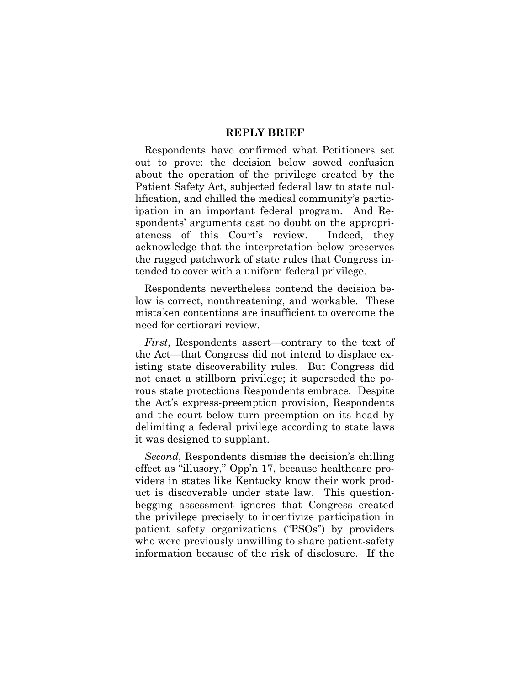#### **REPLY BRIEF**

Respondents have confirmed what Petitioners set out to prove: the decision below sowed confusion about the operation of the privilege created by the Patient Safety Act, subjected federal law to state nullification, and chilled the medical community's participation in an important federal program. And Respondents' arguments cast no doubt on the appropriateness of this Court's review. Indeed, they acknowledge that the interpretation below preserves the ragged patchwork of state rules that Congress intended to cover with a uniform federal privilege.

Respondents nevertheless contend the decision below is correct, nonthreatening, and workable. These mistaken contentions are insufficient to overcome the need for certiorari review.

*First*, Respondents assert—contrary to the text of the Act—that Congress did not intend to displace existing state discoverability rules. But Congress did not enact a stillborn privilege; it superseded the porous state protections Respondents embrace. Despite the Act's express-preemption provision, Respondents and the court below turn preemption on its head by delimiting a federal privilege according to state laws it was designed to supplant.

*Second*, Respondents dismiss the decision's chilling effect as "illusory," Opp'n 17, because healthcare providers in states like Kentucky know their work product is discoverable under state law. This questionbegging assessment ignores that Congress created the privilege precisely to incentivize participation in patient safety organizations ("PSOs") by providers who were previously unwilling to share patient-safety information because of the risk of disclosure. If the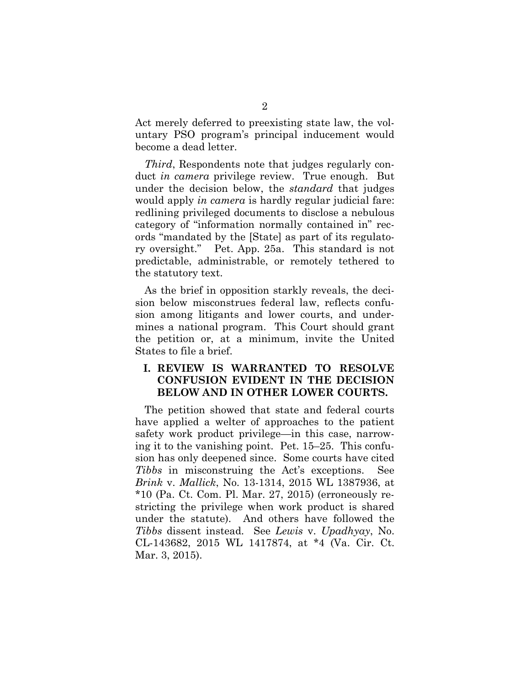Act merely deferred to preexisting state law, the voluntary PSO program's principal inducement would become a dead letter.

*Third*, Respondents note that judges regularly conduct *in camera* privilege review. True enough. But under the decision below, the *standard* that judges would apply *in camera* is hardly regular judicial fare: redlining privileged documents to disclose a nebulous category of "information normally contained in" records "mandated by the [State] as part of its regulatory oversight." Pet. App. 25a. This standard is not predictable, administrable, or remotely tethered to the statutory text.

As the brief in opposition starkly reveals, the decision below misconstrues federal law, reflects confusion among litigants and lower courts, and undermines a national program. This Court should grant the petition or, at a minimum, invite the United States to file a brief.

### **I. REVIEW IS WARRANTED TO RESOLVE CONFUSION EVIDENT IN THE DECISION BELOW AND IN OTHER LOWER COURTS.**

The petition showed that state and federal courts have applied a welter of approaches to the patient safety work product privilege—in this case, narrowing it to the vanishing point. Pet. 15–25. This confusion has only deepened since. Some courts have cited *Tibbs* in misconstruing the Act's exceptions. See *Brink* v. *Mallick*, No. 13-1314, 2015 WL 1387936, at  $*10$  (Pa. Ct. Com. Pl. Mar. 27, 2015) (erroneously restricting the privilege when work product is shared under the statute). And others have followed the *Tibbs* dissent instead. See *Lewis* v. *Upadhyay*, No. CL-143682, 2015 WL 1417874, at \*4 (Va. Cir. Ct. Mar. 3, 2015).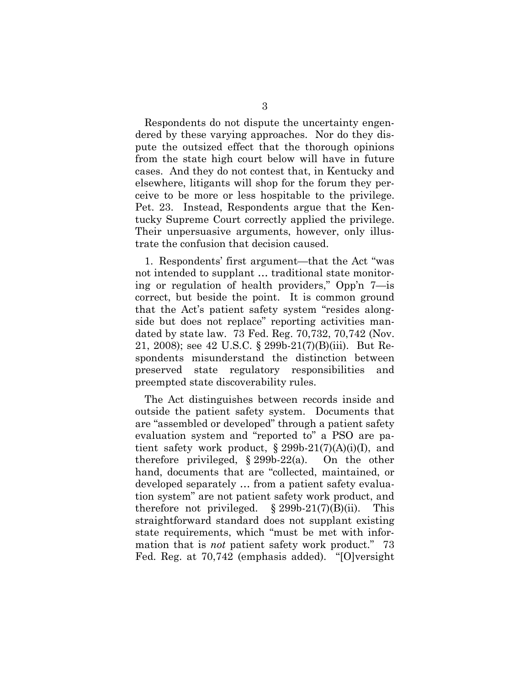Respondents do not dispute the uncertainty engendered by these varying approaches. Nor do they dispute the outsized effect that the thorough opinions from the state high court below will have in future cases. And they do not contest that, in Kentucky and elsewhere, litigants will shop for the forum they perceive to be more or less hospitable to the privilege. Pet. 23. Instead, Respondents argue that the Kentucky Supreme Court correctly applied the privilege. Their unpersuasive arguments, however, only illustrate the confusion that decision caused.

1. Respondents' first argument—that the Act "was not intended to supplant … traditional state monitoring or regulation of health providers," Opp'n 7—is correct, but beside the point. It is common ground that the Act's patient safety system "resides alongside but does not replace" reporting activities mandated by state law. 73 Fed. Reg. 70,732, 70,742 (Nov. 21, 2008); see 42 U.S.C. § 299b-21(7)(B)(iii). But Respondents misunderstand the distinction between preserved state regulatory responsibilities and preempted state discoverability rules.

The Act distinguishes between records inside and outside the patient safety system. Documents that are "assembled or developed" through a patient safety evaluation system and "reported to" a PSO are patient safety work product,  $\S 299b-21(7)(A)(i)(I)$ , and therefore privileged, § 299b-22(a). On the other hand, documents that are "collected, maintained, or developed separately … from a patient safety evaluation system" are not patient safety work product, and therefore not privileged.  $\S 299b-21(7)(B)(ii)$ . This straightforward standard does not supplant existing state requirements, which "must be met with information that is *not* patient safety work product." 73 Fed. Reg. at 70,742 (emphasis added). "[O]versight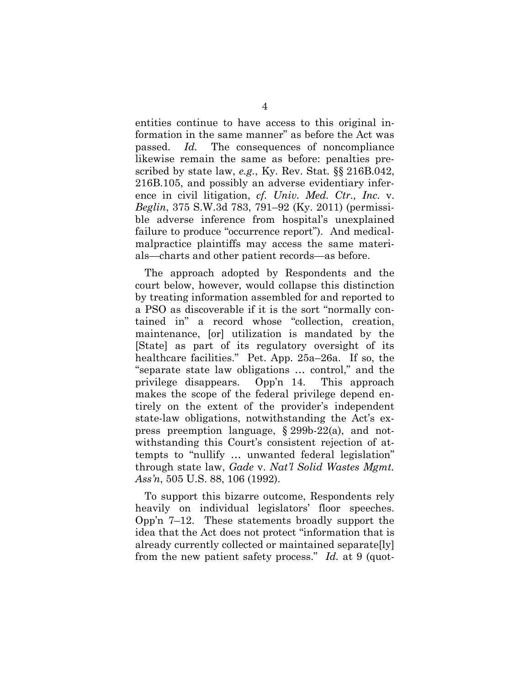entities continue to have access to this original information in the same manner" as before the Act was passed. *Id.* The consequences of noncompliance likewise remain the same as before: penalties prescribed by state law, *e.g.*, Ky. Rev. Stat. §§ 216B.042, 216B.105, and possibly an adverse evidentiary inference in civil litigation, *cf. Univ. Med. Ctr., Inc.* v. *Beglin*, 375 S.W.3d 783, 791–92 (Ky. 2011) (permissible adverse inference from hospital's unexplained failure to produce "occurrence report"). And medicalmalpractice plaintiffs may access the same materials—charts and other patient records—as before.

The approach adopted by Respondents and the court below, however, would collapse this distinction by treating information assembled for and reported to a PSO as discoverable if it is the sort "normally contained in" a record whose "collection, creation, maintenance, [or] utilization is mandated by the [State] as part of its regulatory oversight of its healthcare facilities." Pet. App. 25a–26a. If so, the "separate state law obligations … control," and the privilege disappears. Opp'n 14. This approach makes the scope of the federal privilege depend entirely on the extent of the provider's independent state-law obligations, notwithstanding the Act's express preemption language, § 299b-22(a), and notwithstanding this Court's consistent rejection of attempts to "nullify … unwanted federal legislation" through state law, *Gade* v. *Nat'l Solid Wastes Mgmt. Ass'n*, 505 U.S. 88, 106 (1992).

To support this bizarre outcome, Respondents rely heavily on individual legislators' floor speeches. Opp'n 7–12. These statements broadly support the idea that the Act does not protect "information that is already currently collected or maintained separate[ly] from the new patient safety process." *Id.* at 9 (quot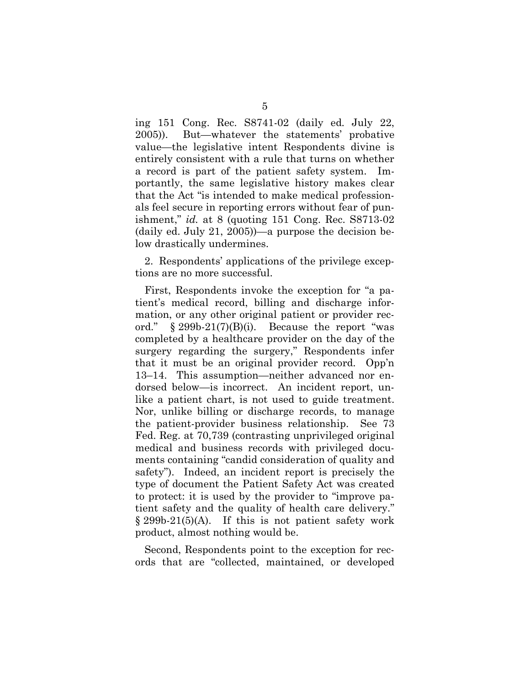ing 151 Cong. Rec. S8741-02 (daily ed. July 22, 2005)). But—whatever the statements' probative value—the legislative intent Respondents divine is entirely consistent with a rule that turns on whether a record is part of the patient safety system. Importantly, the same legislative history makes clear that the Act "is intended to make medical professionals feel secure in reporting errors without fear of punishment," *id.* at 8 (quoting 151 Cong. Rec. S8713-02 (daily ed. July 21, 2005))—a purpose the decision below drastically undermines.

2. Respondents' applications of the privilege exceptions are no more successful.

First, Respondents invoke the exception for "a patient's medical record, billing and discharge information, or any other original patient or provider record."  $\S 299b-21(7)(B)(i)$ . Because the report "was completed by a healthcare provider on the day of the surgery regarding the surgery," Respondents infer that it must be an original provider record. Opp'n 13–14. This assumption—neither advanced nor endorsed below—is incorrect. An incident report, unlike a patient chart, is not used to guide treatment. Nor, unlike billing or discharge records, to manage the patient-provider business relationship. See 73 Fed. Reg. at 70,739 (contrasting unprivileged original medical and business records with privileged documents containing "candid consideration of quality and safety"). Indeed, an incident report is precisely the type of document the Patient Safety Act was created to protect: it is used by the provider to "improve patient safety and the quality of health care delivery."  $\S 299b-21(5)(A)$ . If this is not patient safety work product, almost nothing would be.

Second, Respondents point to the exception for records that are "collected, maintained, or developed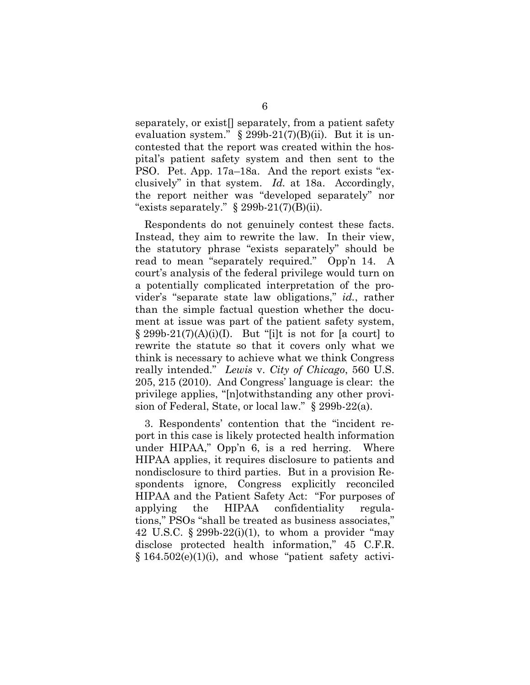separately, or exist<sup>[]</sup> separately, from a patient safety evaluation system."  $\S 299b-21(7)(B)(ii)$ . But it is uncontested that the report was created within the hospital's patient safety system and then sent to the PSO. Pet. App. 17a–18a. And the report exists "exclusively" in that system. *Id.* at 18a. Accordingly, the report neither was "developed separately" nor "exists separately."  $\S 299b-21(7)(B)(ii)$ .

Respondents do not genuinely contest these facts. Instead, they aim to rewrite the law. In their view, the statutory phrase "exists separately" should be read to mean "separately required." Opp'n 14. A court's analysis of the federal privilege would turn on a potentially complicated interpretation of the provider's "separate state law obligations," *id.*, rather than the simple factual question whether the document at issue was part of the patient safety system,  $\S 299b-21(7)(A)(i)(I)$ . But "[i]t is not for [a court] to rewrite the statute so that it covers only what we think is necessary to achieve what we think Congress really intended." *Lewis* v. *City of Chicago*, 560 U.S. 205, 215 (2010). And Congress' language is clear: the privilege applies, "[n]otwithstanding any other provision of Federal, State, or local law." § 299b-22(a).

3. Respondents' contention that the "incident report in this case is likely protected health information under HIPAA," Opp'n 6, is a red herring. Where HIPAA applies, it requires disclosure to patients and nondisclosure to third parties. But in a provision Respondents ignore, Congress explicitly reconciled HIPAA and the Patient Safety Act: "For purposes of applying the HIPAA confidentiality regulations," PSOs "shall be treated as business associates," 42 U.S.C.  $\S 299b-22(i)(1)$ , to whom a provider "may disclose protected health information," 45 C.F.R.  $§$  164.502(e)(1)(i), and whose "patient safety activi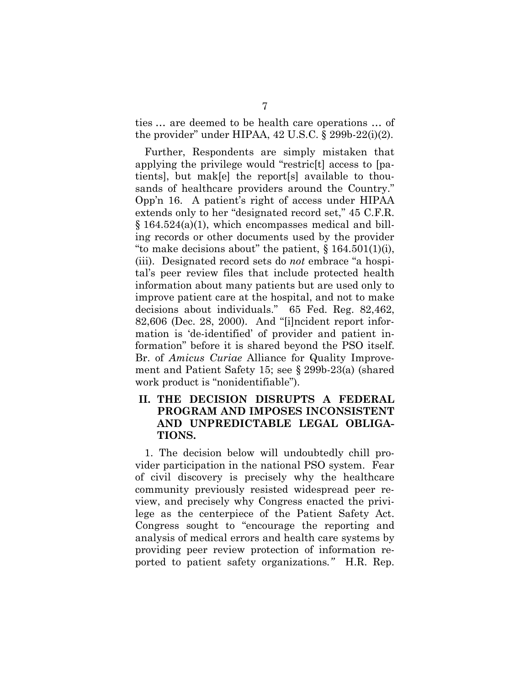ties … are deemed to be health care operations … of the provider" under HIPAA,  $42$  U.S.C.  $\S$  299b-22(i)(2).

Further, Respondents are simply mistaken that applying the privilege would "restric[t] access to [patients], but mak[e] the report[s] available to thousands of healthcare providers around the Country." Opp'n 16. A patient's right of access under HIPAA extends only to her "designated record set," 45 C.F.R.  $\S 164.524(a)(1)$ , which encompasses medical and billing records or other documents used by the provider "to make decisions about" the patient,  $\S 164.501(1)(i)$ , (iii). Designated record sets do *not* embrace "a hospital's peer review files that include protected health information about many patients but are used only to improve patient care at the hospital, and not to make decisions about individuals." 65 Fed. Reg. 82,462, 82,606 (Dec. 28, 2000). And "[i]ncident report information is 'de-identified' of provider and patient information" before it is shared beyond the PSO itself. Br. of *Amicus Curiae* Alliance for Quality Improvement and Patient Safety 15; see § 299b-23(a) (shared work product is "nonidentifiable").

### **II. THE DECISION DISRUPTS A FEDERAL PROGRAM AND IMPOSES INCONSISTENT AND UNPREDICTABLE LEGAL OBLIGA-TIONS.**

1. The decision below will undoubtedly chill provider participation in the national PSO system. Fear of civil discovery is precisely why the healthcare community previously resisted widespread peer review, and precisely why Congress enacted the privilege as the centerpiece of the Patient Safety Act. Congress sought to "encourage the reporting and analysis of medical errors and health care systems by providing peer review protection of information reported to patient safety organizations*."* H.R. Rep.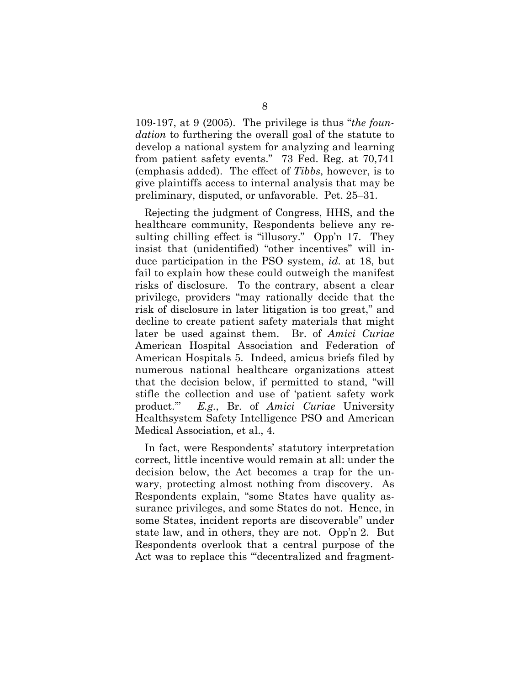109-197, at 9 (2005). The privilege is thus "*the foundation* to furthering the overall goal of the statute to develop a national system for analyzing and learning from patient safety events." 73 Fed. Reg. at 70,741 (emphasis added). The effect of *Tibbs*, however, is to give plaintiffs access to internal analysis that may be preliminary, disputed, or unfavorable. Pet. 25–31.

Rejecting the judgment of Congress, HHS, and the healthcare community, Respondents believe any resulting chilling effect is "illusory." Opp'n 17. They insist that (unidentified) "other incentives" will induce participation in the PSO system, *id.* at 18, but fail to explain how these could outweigh the manifest risks of disclosure. To the contrary, absent a clear privilege, providers "may rationally decide that the risk of disclosure in later litigation is too great," and decline to create patient safety materials that might later be used against them. Br. of *Amici Curiae* American Hospital Association and Federation of American Hospitals 5. Indeed, amicus briefs filed by numerous national healthcare organizations attest that the decision below, if permitted to stand, "will stifle the collection and use of 'patient safety work product.'" *E.g.*, Br. of *Amici Curiae* University Healthsystem Safety Intelligence PSO and American Medical Association, et al., 4.

In fact, were Respondents' statutory interpretation correct, little incentive would remain at all: under the decision below, the Act becomes a trap for the unwary, protecting almost nothing from discovery. As Respondents explain, "some States have quality assurance privileges, and some States do not. Hence, in some States, incident reports are discoverable" under state law, and in others, they are not. Opp'n 2. But Respondents overlook that a central purpose of the Act was to replace this "'decentralized and fragment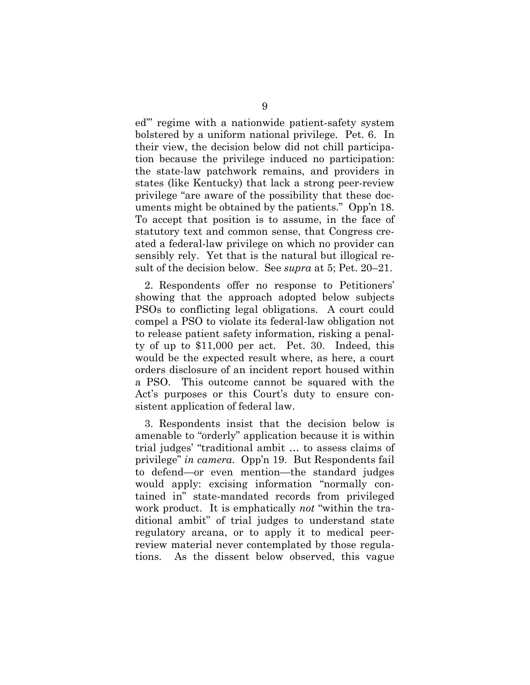ed'" regime with a nationwide patient-safety system bolstered by a uniform national privilege. Pet. 6. In their view, the decision below did not chill participation because the privilege induced no participation: the state-law patchwork remains, and providers in states (like Kentucky) that lack a strong peer-review privilege "are aware of the possibility that these documents might be obtained by the patients." Opp'n 18. To accept that position is to assume, in the face of statutory text and common sense, that Congress created a federal-law privilege on which no provider can sensibly rely. Yet that is the natural but illogical result of the decision below. See *supra* at 5; Pet. 20–21.

2. Respondents offer no response to Petitioners' showing that the approach adopted below subjects PSOs to conflicting legal obligations. A court could compel a PSO to violate its federal-law obligation not to release patient safety information, risking a penalty of up to \$11,000 per act. Pet. 30. Indeed, this would be the expected result where, as here, a court orders disclosure of an incident report housed within a PSO. This outcome cannot be squared with the Act's purposes or this Court's duty to ensure consistent application of federal law.

3. Respondents insist that the decision below is amenable to "orderly" application because it is within trial judges' "traditional ambit … to assess claims of privilege" *in camera*. Opp'n 19. But Respondents fail to defend—or even mention—the standard judges would apply: excising information "normally contained in" state-mandated records from privileged work product. It is emphatically *not* "within the traditional ambit" of trial judges to understand state regulatory arcana, or to apply it to medical peerreview material never contemplated by those regulations. As the dissent below observed, this vague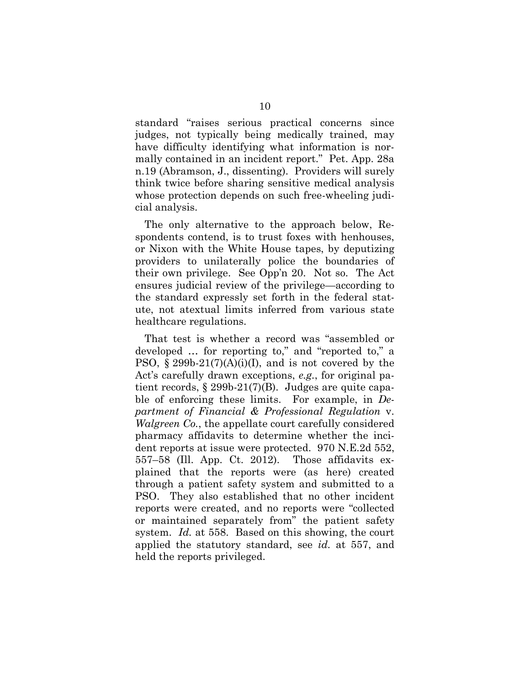standard "raises serious practical concerns since judges, not typically being medically trained, may have difficulty identifying what information is normally contained in an incident report." Pet. App. 28a n.19 (Abramson, J., dissenting). Providers will surely think twice before sharing sensitive medical analysis whose protection depends on such free-wheeling judicial analysis.

The only alternative to the approach below, Respondents contend, is to trust foxes with henhouses, or Nixon with the White House tapes, by deputizing providers to unilaterally police the boundaries of their own privilege. See Opp'n 20. Not so. The Act ensures judicial review of the privilege—according to the standard expressly set forth in the federal statute, not atextual limits inferred from various state healthcare regulations.

That test is whether a record was "assembled or developed … for reporting to," and "reported to," a PSO,  $\S 299b-21(7)(A)(i)(I)$ , and is not covered by the Act's carefully drawn exceptions, *e.g.*, for original patient records, § 299b-21(7)(B). Judges are quite capable of enforcing these limits. For example, in *Department of Financial & Professional Regulation* v. *Walgreen Co.*, the appellate court carefully considered pharmacy affidavits to determine whether the incident reports at issue were protected. 970 N.E.2d 552, 557–58 (Ill. App. Ct. 2012). Those affidavits explained that the reports were (as here) created through a patient safety system and submitted to a PSO. They also established that no other incident reports were created, and no reports were "collected or maintained separately from" the patient safety system. *Id.* at 558. Based on this showing, the court applied the statutory standard, see *id.* at 557, and held the reports privileged.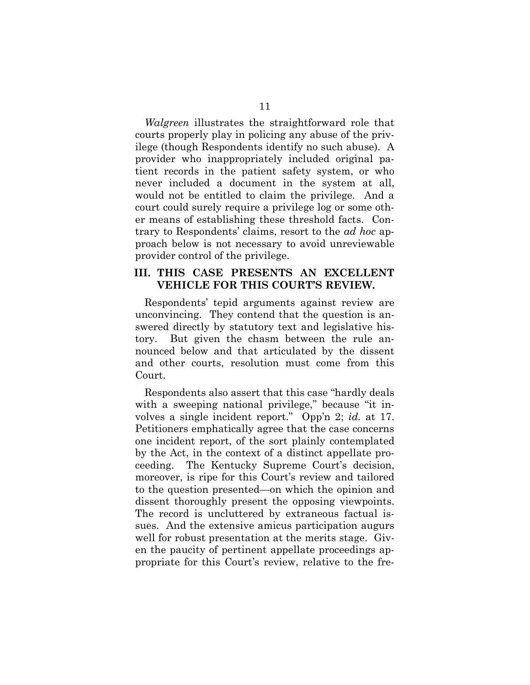*Walgreen* illustrates the straightforward role that courts properly play in policing any abuse of the privilege (though Respondents identify no such abuse). A provider who inappropriately included original patient records in the patient safety system, or who never included a document in the system at all, would not be entitled to claim the privilege. And a court could surely require a privilege log or some other means of establishing these threshold facts. Contrary to Respondents' claims, resort to the *ad hoc* approach below is not necessary to avoid unreviewable provider control of the privilege.

### **III. THIS CASE PRESENTS AN EXCELLENT VEHICLE FOR THIS COURT'S REVIEW.**

Respondents' tepid arguments against review are unconvincing. They contend that the question is answered directly by statutory text and legislative history. But given the chasm between the rule announced below and that articulated by the dissent and other courts, resolution must come from this Court.

Respondents also assert that this case "hardly deals with a sweeping national privilege," because "it involves a single incident report." Opp'n 2; *id.* at 17. Petitioners emphatically agree that the case concerns one incident report, of the sort plainly contemplated by the Act, in the context of a distinct appellate proceeding. The Kentucky Supreme Court's decision, moreover, is ripe for this Court's review and tailored to the question presented—on which the opinion and dissent thoroughly present the opposing viewpoints. The record is uncluttered by extraneous factual issues. And the extensive amicus participation augurs well for robust presentation at the merits stage. Given the paucity of pertinent appellate proceedings appropriate for this Court's review, relative to the fre